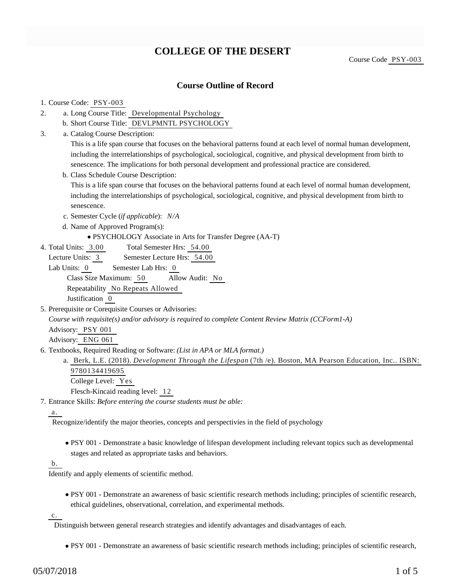# **COLLEGE OF THE DESERT**

Course Code PSY-003

### **Course Outline of Record**

#### 1. Course Code: PSY-003

- a. Long Course Title: Developmental Psychology 2.
	- b. Short Course Title: DEVLPMNTL PSYCHOLOGY
- Catalog Course Description: a. 3.

This is a life span course that focuses on the behavioral patterns found at each level of normal human development, including the interrelationships of psychological, sociological, cognitive, and physical development from birth to senescence. The implications for both personal development and professional practice are considered.

b. Class Schedule Course Description:

This is a life span course that focuses on the behavioral patterns found at each level of normal human development, including the interrelationships of psychological, sociological, cognitive, and physical development from birth to senescence.

- c. Semester Cycle (*if applicable*): *N/A*
- d. Name of Approved Program(s):
	- PSYCHOLOGY Associate in Arts for Transfer Degree (AA-T)
- Total Semester Hrs: 54.00 4. Total Units: 3.00
	- Lecture Units: 3 Semester Lecture Hrs: 54.00

Lab Units: 0 Semester Lab Hrs: 0 Class Size Maximum: 50 Allow Audit: No Repeatability No Repeats Allowed Justification 0

5. Prerequisite or Corequisite Courses or Advisories:

*Course with requisite(s) and/or advisory is required to complete Content Review Matrix (CCForm1-A)*

Advisory: PSY 001

Advisory: ENG 061

6. Textbooks, Required Reading or Software: (List in APA or MLA format.)

a. Berk, L.E. (2018). *Development Through the Lifespan* (7th /e). Boston, MA Pearson Education, Inc.. ISBN: 9780134419695

College Level: Yes Flesch-Kincaid reading level: 12

Entrance Skills: *Before entering the course students must be able:* 7.

### a.

Recognize/identify the major theories, concepts and perspectivies in the field of psychology

PSY 001 - Demonstrate a basic knowledge of lifespan development including relevant topics such as developmental stages and related as appropriate tasks and behaviors.

#### b.

Identify and apply elements of scientific method.

PSY 001 - Demonstrate an awareness of basic scientific research methods including; principles of scientific research, ethical guidelines, observational, correlation, and experimental methods.

c.

Distinguish between general research strategies and identify advantages and disadvantages of each.

PSY 001 - Demonstrate an awareness of basic scientific research methods including; principles of scientific research,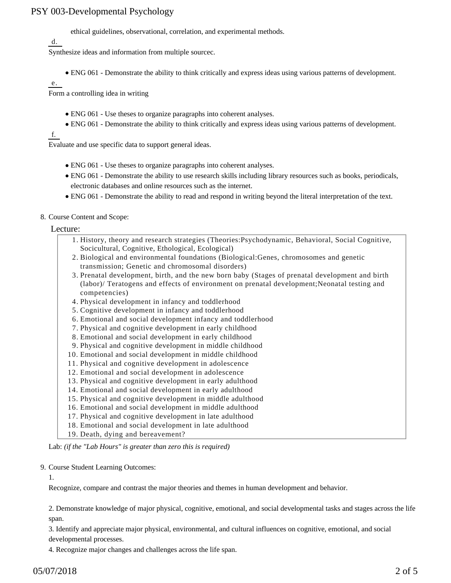ethical guidelines, observational, correlation, and experimental methods.

d.

Synthesize ideas and information from multiple sourcec.

ENG 061 - Demonstrate the ability to think critically and express ideas using various patterns of development.

e.

Form a controlling idea in writing

- ENG 061 Use theses to organize paragraphs into coherent analyses.
- ENG 061 Demonstrate the ability to think critically and express ideas using various patterns of development.

f.

Evaluate and use specific data to support general ideas.

- ENG 061 Use theses to organize paragraphs into coherent analyses.
- ENG 061 Demonstrate the ability to use research skills including library resources such as books, periodicals, electronic databases and online resources such as the internet.
- ENG 061 Demonstrate the ability to read and respond in writing beyond the literal interpretation of the text.
- 8. Course Content and Scope:

Lecture:

- 1. History, theory and research strategies (Theories: Psychodynamic, Behavioral, Social Cognitive, Socicultural, Cognitive, Ethological, Ecological)
- 2. Biological and environmental foundations (Biological:Genes, chromosomes and genetic transmission; Genetic and chromosomal disorders)
- 3. Prenatal development, birth, and the new born baby (Stages of prenatal development and birth (labor)/ Teratogens and effects of environment on prenatal development;Neonatal testing and competencies)
- 4. Physical development in infancy and toddlerhood
- 5. Cognitive development in infancy and toddlerhood
- 6. Emotional and social development infancy and toddlerhood
- 7. Physical and cognitive development in early childhood
- 8. Emotional and social development in early childhood
- 9. Physical and cognitive development in middle childhood
- 10. Emotional and social development in middle childhood
- 11. Physical and cognitive development in adolescence
- 12. Emotional and social development in adolescence
- 13. Physical and cognitive development in early adulthood
- 14. Emotional and social development in early adulthood
- 15. Physical and cognitive development in middle adulthood
- 16. Emotional and social development in middle adulthood
- 17. Physical and cognitive development in late adulthood
- 18. Emotional and social development in late adulthood
- 19. Death, dying and bereavement?

Lab: *(if the "Lab Hours" is greater than zero this is required)*

9. Course Student Learning Outcomes:

1.

Recognize, compare and contrast the major theories and themes in human development and behavior.

2. Demonstrate knowledge of major physical, cognitive, emotional, and social developmental tasks and stages across the life span.

3. Identify and appreciate major physical, environmental, and cultural influences on cognitive, emotional, and social developmental processes.

4. Recognize major changes and challenges across the life span.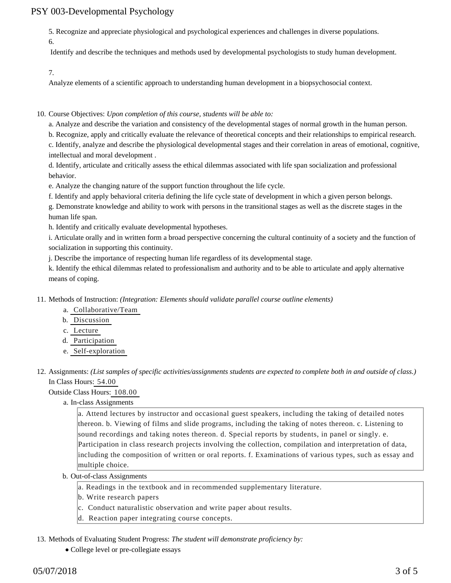5. Recognize and appreciate physiological and psychological experiences and challenges in diverse populations.

6.

Identify and describe the techniques and methods used by developmental psychologists to study human development.

7.

Analyze elements of a scientific approach to understanding human development in a biopsychosocial context.

10. Course Objectives: Upon completion of this course, students will be able to:

a. Analyze and describe the variation and consistency of the developmental stages of normal growth in the human person.

b. Recognize, apply and critically evaluate the relevance of theoretical concepts and their relationships to empirical research. c. Identify, analyze and describe the physiological developmental stages and their correlation in areas of emotional, cognitive, intellectual and moral development .

d. Identify, articulate and critically assess the ethical dilemmas associated with life span socialization and professional behavior.

e. Analyze the changing nature of the support function throughout the life cycle.

f. Identify and apply behavioral criteria defining the life cycle state of development in which a given person belongs.

g. Demonstrate knowledge and ability to work with persons in the transitional stages as well as the discrete stages in the human life span.

h. Identify and critically evaluate developmental hypotheses.

i. Articulate orally and in written form a broad perspective concerning the cultural continuity of a society and the function of socialization in supporting this continuity.

j. Describe the importance of respecting human life regardless of its developmental stage.

k. Identify the ethical dilemmas related to professionalism and authority and to be able to articulate and apply alternative means of coping.

11. Methods of Instruction: *(Integration: Elements should validate parallel course outline elements)* 

a. Collaborative/Team

b. Discussion

c. Lecture

- d. Participation
- e. Self-exploration

12. Assignments: (List samples of specific activities/assignments students are expected to complete both in and outside of class.) In Class Hours: 54.00

Outside Class Hours: 108.00

a. In-class Assignments

a. Attend lectures by instructor and occasional guest speakers, including the taking of detailed notes thereon. b. Viewing of films and slide programs, including the taking of notes thereon. c. Listening to sound recordings and taking notes thereon. d. Special reports by students, in panel or singly. e. Participation in class research projects involving the collection, compilation and interpretation of data, including the composition of written or oral reports. f. Examinations of various types, such as essay and multiple choice.

- b. Out-of-class Assignments
	- a. Readings in the textbook and in recommended supplementary literature.
	- b. Write research papers
	- c. Conduct naturalistic observation and write paper about results.
	- d. Reaction paper integrating course concepts.
- 13. Methods of Evaluating Student Progress: The student will demonstrate proficiency by:
	- College level or pre-collegiate essays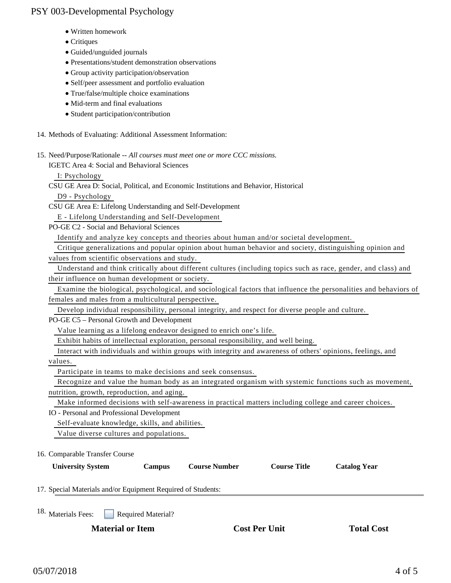- Written homework
- Critiques
- Guided/unguided journals
- Presentations/student demonstration observations
- Group activity participation/observation
- Self/peer assessment and portfolio evaluation
- True/false/multiple choice examinations
- Mid-term and final evaluations
- Student participation/contribution
- 14. Methods of Evaluating: Additional Assessment Information:
- 15. Need/Purpose/Rationale -- All courses must meet one or more CCC missions.

IGETC Area 4: Social and Behavioral Sciences

I: Psychology

- CSU GE Area D: Social, Political, and Economic Institutions and Behavior, Historical D9 - Psychology
- CSU GE Area E: Lifelong Understanding and Self-Development E - Lifelong Understanding and Self-Development
- PO-GE C2 Social and Behavioral Sciences

Identify and analyze key concepts and theories about human and/or societal development.

 Critique generalizations and popular opinion about human behavior and society, distinguishing opinion and values from scientific observations and study.

 Understand and think critically about different cultures (including topics such as race, gender, and class) and their influence on human development or society.

 Examine the biological, psychological, and sociological factors that influence the personalities and behaviors of females and males from a multicultural perspective.

Develop individual responsibility, personal integrity, and respect for diverse people and culture.

PO-GE C5 – Personal Growth and Development

Value learning as a lifelong endeavor designed to enrich one's life.

Exhibit habits of intellectual exploration, personal responsibility, and well being.

Interact with individuals and within groups with integrity and awareness of others' opinions, feelings, and

values.

Participate in teams to make decisions and seek consensus.

 Recognize and value the human body as an integrated organism with systemic functions such as movement, nutrition, growth, reproduction, and aging.

Make informed decisions with self-awareness in practical matters including college and career choices.

IO - Personal and Professional Development

Self-evaluate knowledge, skills, and abilities.

Value diverse cultures and populations.

16. Comparable Transfer Course

| <b>University System</b>                                     | <b>Campus</b>             | <b>Course Number</b> | <b>Course Title</b> | <b>Catalog Year</b> |
|--------------------------------------------------------------|---------------------------|----------------------|---------------------|---------------------|
| 17. Special Materials and/or Equipment Required of Students: |                           |                      |                     |                     |
| 18. Materials Fees:                                          | <b>Required Material?</b> |                      |                     |                     |

**Material or Item Cost Per Unit Total Cost**